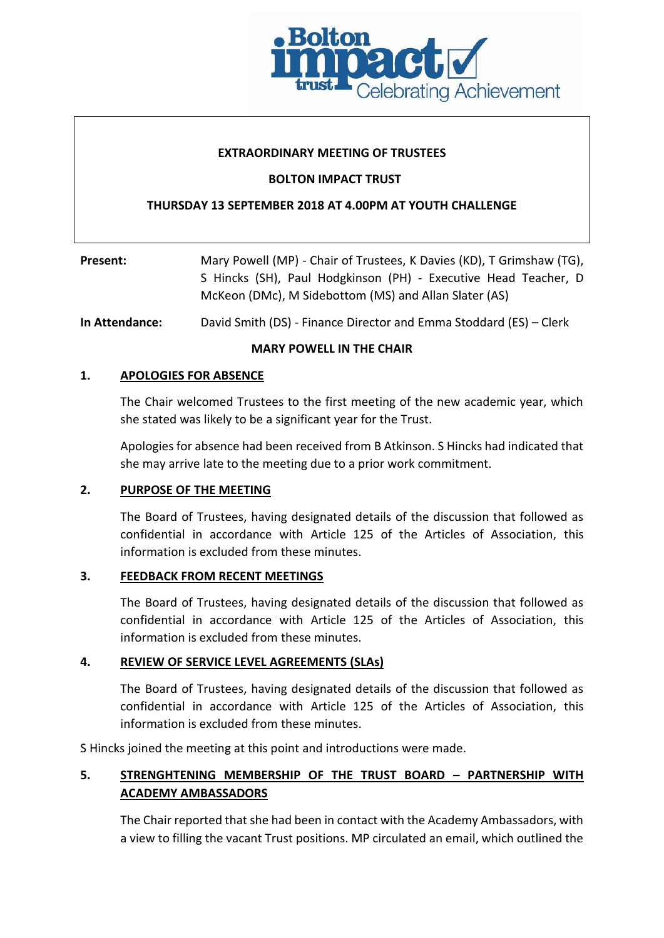

### **EXTRAORDINARY MEETING OF TRUSTEES**

## **BOLTON IMPACT TRUST**

## **THURSDAY 13 SEPTEMBER 2018 AT 4.00PM AT YOUTH CHALLENGE**

| Present: | Mary Powell (MP) - Chair of Trustees, K Davies (KD), T Grimshaw (TG),                                                    |  |  |
|----------|--------------------------------------------------------------------------------------------------------------------------|--|--|
|          | S Hincks (SH), Paul Hodgkinson (PH) - Executive Head Teacher, D<br>McKeon (DMc), M Sidebottom (MS) and Allan Slater (AS) |  |  |
|          |                                                                                                                          |  |  |

**In Attendance:** David Smith (DS) - Finance Director and Emma Stoddard (ES) – Clerk

### **MARY POWELL IN THE CHAIR**

## **1. APOLOGIES FOR ABSENCE**

The Chair welcomed Trustees to the first meeting of the new academic year, which she stated was likely to be a significant year for the Trust.

Apologies for absence had been received from B Atkinson. S Hincks had indicated that she may arrive late to the meeting due to a prior work commitment.

### **2. PURPOSE OF THE MEETING**

The Board of Trustees, having designated details of the discussion that followed as confidential in accordance with Article 125 of the Articles of Association, this information is excluded from these minutes.

### **3. FEEDBACK FROM RECENT MEETINGS**

The Board of Trustees, having designated details of the discussion that followed as confidential in accordance with Article 125 of the Articles of Association, this information is excluded from these minutes.

### **4. REVIEW OF SERVICE LEVEL AGREEMENTS (SLAs)**

The Board of Trustees, having designated details of the discussion that followed as confidential in accordance with Article 125 of the Articles of Association, this information is excluded from these minutes.

S Hincks joined the meeting at this point and introductions were made.

# **5. STRENGHTENING MEMBERSHIP OF THE TRUST BOARD – PARTNERSHIP WITH ACADEMY AMBASSADORS**

The Chair reported that she had been in contact with the Academy Ambassadors, with a view to filling the vacant Trust positions. MP circulated an email, which outlined the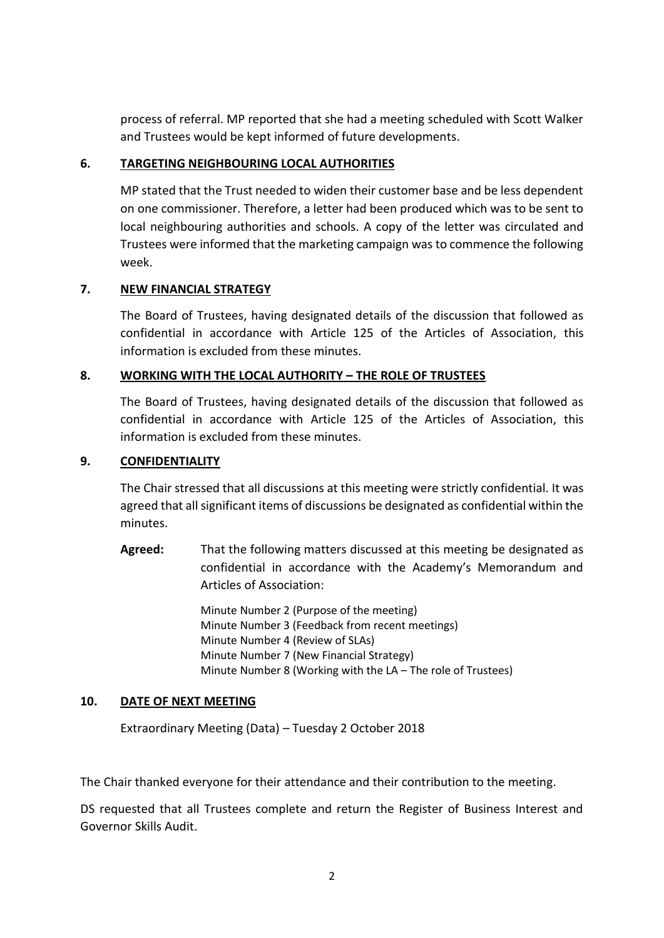process of referral. MP reported that she had a meeting scheduled with Scott Walker and Trustees would be kept informed of future developments.

## **6. TARGETING NEIGHBOURING LOCAL AUTHORITIES**

MP stated that the Trust needed to widen their customer base and be less dependent on one commissioner. Therefore, a letter had been produced which was to be sent to local neighbouring authorities and schools. A copy of the letter was circulated and Trustees were informed that the marketing campaign was to commence the following week.

## **7. NEW FINANCIAL STRATEGY**

The Board of Trustees, having designated details of the discussion that followed as confidential in accordance with Article 125 of the Articles of Association, this information is excluded from these minutes.

## **8. WORKING WITH THE LOCAL AUTHORITY – THE ROLE OF TRUSTEES**

The Board of Trustees, having designated details of the discussion that followed as confidential in accordance with Article 125 of the Articles of Association, this information is excluded from these minutes.

## **9. CONFIDENTIALITY**

The Chair stressed that all discussions at this meeting were strictly confidential. It was agreed that all significant items of discussions be designated as confidential within the minutes.

**Agreed:** That the following matters discussed at this meeting be designated as confidential in accordance with the Academy's Memorandum and Articles of Association:

> Minute Number 2 (Purpose of the meeting) Minute Number 3 (Feedback from recent meetings) Minute Number 4 (Review of SLAs) Minute Number 7 (New Financial Strategy) Minute Number 8 (Working with the LA – The role of Trustees)

## **10. DATE OF NEXT MEETING**

Extraordinary Meeting (Data) – Tuesday 2 October 2018

The Chair thanked everyone for their attendance and their contribution to the meeting.

DS requested that all Trustees complete and return the Register of Business Interest and Governor Skills Audit.